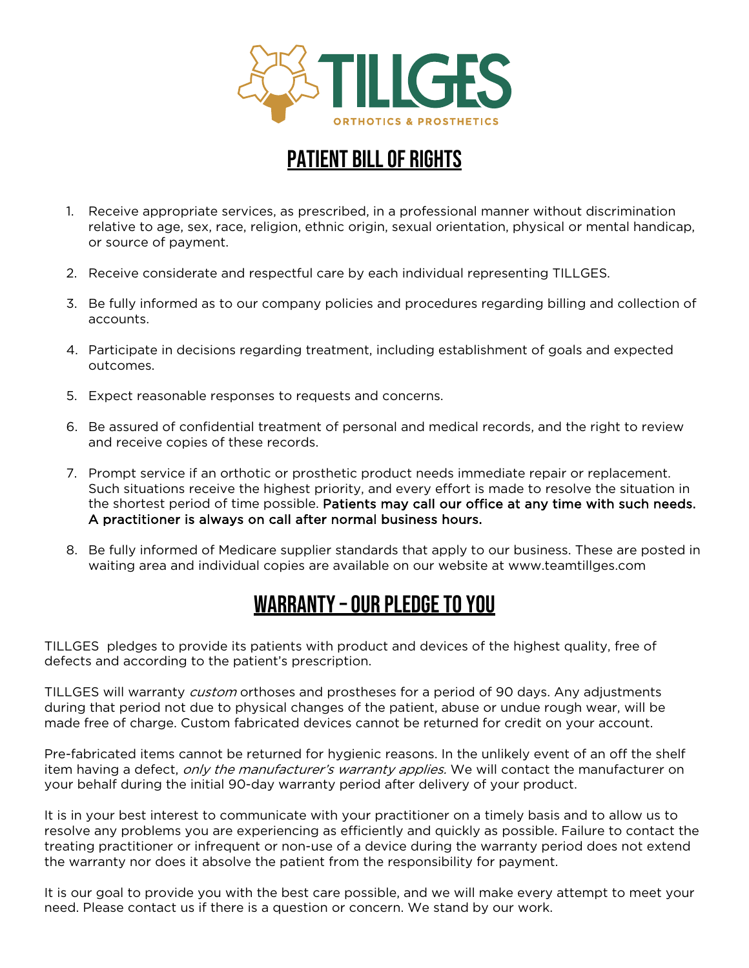

## PATIENT BILL OF RIGHTS

- 1. Receive appropriate services, as prescribed, in a professional manner without discrimination relative to age, sex, race, religion, ethnic origin, sexual orientation, physical or mental handicap, or source of payment.
- 2. Receive considerate and respectful care by each individual representing TILLGES.
- 3. Be fully informed as to our company policies and procedures regarding billing and collection of accounts.
- 4. Participate in decisions regarding treatment, including establishment of goals and expected outcomes.
- 5. Expect reasonable responses to requests and concerns.
- 6. Be assured of confidential treatment of personal and medical records, and the right to review and receive copies of these records.
- 7. Prompt service if an orthotic or prosthetic product needs immediate repair or replacement. Such situations receive the highest priority, and every effort is made to resolve the situation in the shortest period of time possible. Patients may call our office at any time with such needs. A practitioner is always on call after normal business hours.
- 8. Be fully informed of Medicare supplier standards that apply to our business. These are posted in waiting area and individual copies are available on our website at www.teamtillges.com

## WARRANTY – OUR PLEDGE TO YOU

TILLGES pledges to provide its patients with product and devices of the highest quality, free of defects and according to the patient's prescription.

TILLGES will warranty custom orthoses and prostheses for a period of 90 days. Any adjustments during that period not due to physical changes of the patient, abuse or undue rough wear, will be made free of charge. Custom fabricated devices cannot be returned for credit on your account.

Pre-fabricated items cannot be returned for hygienic reasons. In the unlikely event of an off the shelf item having a defect, *only the manufacturer's warranty applies*. We will contact the manufacturer on your behalf during the initial 90-day warranty period after delivery of your product.

It is in your best interest to communicate with your practitioner on a timely basis and to allow us to resolve any problems you are experiencing as efficiently and quickly as possible. Failure to contact the treating practitioner or infrequent or non-use of a device during the warranty period does not extend the warranty nor does it absolve the patient from the responsibility for payment.

It is our goal to provide you with the best care possible, and we will make every attempt to meet your need. Please contact us if there is a question or concern. We stand by our work.